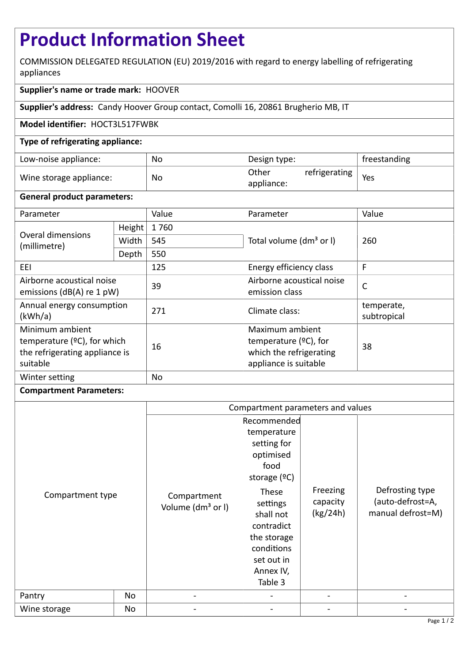# **Product Information Sheet**

COMMISSION DELEGATED REGULATION (EU) 2019/2016 with regard to energy labelling of refrigerating appliances

## **Supplier's name or trade mark:** HOOVER

**Supplier's address:** Candy Hoover Group contact, Comolli 16, 20861 Brugherio MB, IT

### **Model identifier:** HOCT3L517FWBK

#### **Type of refrigerating appliance:**

| Low-noise appliance:    | No | Design type:        |               | freestanding |
|-------------------------|----|---------------------|---------------|--------------|
| Wine storage appliance: | No | Other<br>appliance: | refrigerating | Yes          |

#### **General product parameters:**

| Parameter                                                                                       |        | Value     | Parameter                                                                                       | Value                     |
|-------------------------------------------------------------------------------------------------|--------|-----------|-------------------------------------------------------------------------------------------------|---------------------------|
| Overal dimensions<br>(millimetre)                                                               | Height | 1760      |                                                                                                 | 260                       |
|                                                                                                 | Width  | 545       | Total volume (dm <sup>3</sup> or I)                                                             |                           |
|                                                                                                 | Depth  | 550       |                                                                                                 |                           |
| EEI                                                                                             |        | 125       | Energy efficiency class                                                                         | F                         |
| Airborne acoustical noise<br>emissions ( $dB(A)$ re 1 pW)                                       |        | 39        | Airborne acoustical noise<br>emission class                                                     | $\mathsf{C}$              |
| Annual energy consumption<br>(kWh/a)                                                            |        | 271       | Climate class:                                                                                  | temperate,<br>subtropical |
| Minimum ambient<br>temperature $(°C)$ , for which<br>the refrigerating appliance is<br>suitable |        | 16        | Maximum ambient<br>temperature $(2C)$ , for<br>which the refrigerating<br>appliance is suitable | 38                        |
| Winter setting                                                                                  |        | <b>No</b> |                                                                                                 |                           |

#### **Compartment Parameters:**

|                  |    | Compartment parameters and values            |                                                                                                        |                      |                                                          |
|------------------|----|----------------------------------------------|--------------------------------------------------------------------------------------------------------|----------------------|----------------------------------------------------------|
| Compartment type |    | Compartment<br>Volume (dm <sup>3</sup> or I) | Recommended<br>temperature<br>setting for<br>optimised<br>food<br>storage $(°C)$<br>These              | Freezing             | Defrosting type<br>(auto-defrost=A,<br>manual defrost=M) |
|                  |    |                                              | settings<br>shall not<br>contradict<br>the storage<br>conditions<br>set out in<br>Annex IV,<br>Table 3 | capacity<br>(kg/24h) |                                                          |
| Pantry           | No | $\qquad \qquad \blacksquare$                 |                                                                                                        |                      |                                                          |
| Wine storage     | No |                                              |                                                                                                        |                      |                                                          |